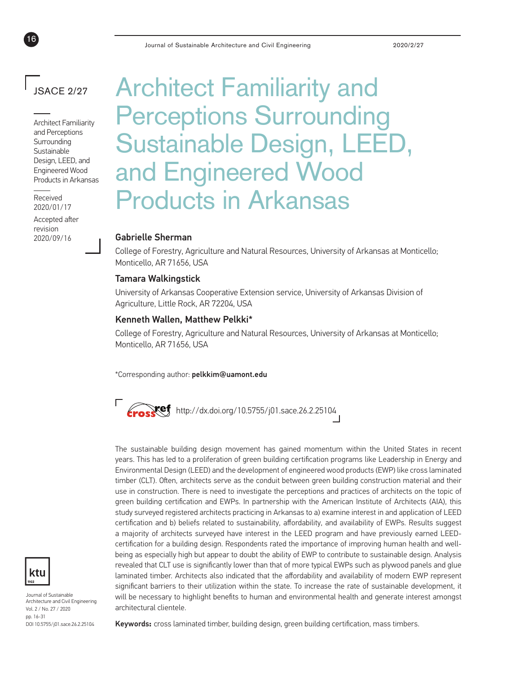# JSACE 2/27

16

Architect Familiarity and Perceptions Surrounding Sustainable Design, LEED, and Engineered Wood Products in Arkansas

2020/01/17

Accepted after revision 2020/09/16

# Architect Familiarity and Perceptions Surrounding Sustainable Design, LEED, and Engineered Wood Received **Products in Arkansas**

### Gabrielle Sherman

College of Forestry, Agriculture and Natural Resources, University of Arkansas at Monticello; Monticello, AR 71656, USA

### Tamara Walkingstick

University of Arkansas Cooperative Extension service, University of Arkansas Division of Agriculture, Little Rock, AR 72204, USA

### Kenneth Wallen, Matthew Pelkki\*

College of Forestry, Agriculture and Natural Resources, University of Arkansas at Monticello; Monticello, AR 71656, USA

\*Corresponding author: pelkkim@uamont.edu



The sustainable building design movement has gained momentum within the United States in recent years. This has led to a proliferation of green building certification programs like Leadership in Energy and Environmental Design (LEED) and the development of engineered wood products (EWP) like cross laminated timber (CLT). Often, architects serve as the conduit between green building construction material and their use in construction. There is need to investigate the perceptions and practices of architects on the topic of green building certification and EWPs. In partnership with the American Institute of Architects (AIA), this study surveyed registered architects practicing in Arkansas to a) examine interest in and application of LEED certification and b) beliefs related to sustainability, affordability, and availability of EWPs. Results suggest a majority of architects surveyed have interest in the LEED program and have previously earned LEEDcertification for a building design. Respondents rated the importance of improving human health and wellbeing as especially high but appear to doubt the ability of EWP to contribute to sustainable design. Analysis revealed that CLT use is significantly lower than that of more typical EWPs such as plywood panels and glue laminated timber. Architects also indicated that the affordability and availability of modern EWP represent significant barriers to their utilization within the state. To increase the rate of sustainable development, it will be necessary to highlight benefits to human and environmental health and generate interest amongst architectural clientele.



Journal of Sustainable Architecture and Civil Engineering Vol. 2 / No. 27 / 2020 pp. 16-31 DOI 10.5755/j01.sace.26.2.25104

Keywords**:** cross laminated timber, building design, green building certification, mass timbers.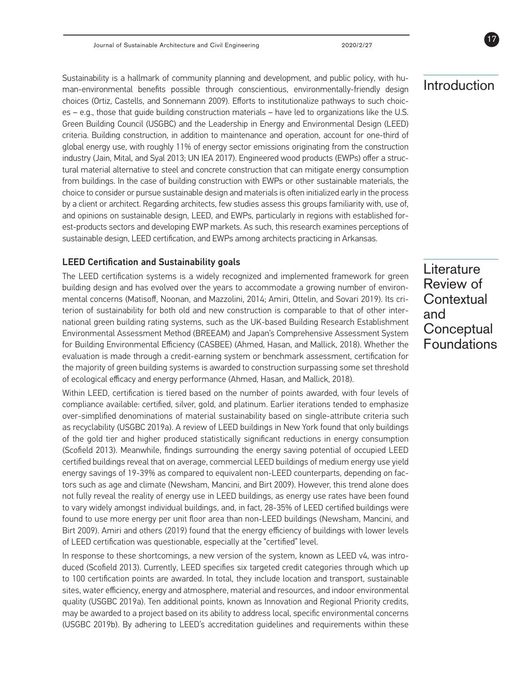Sustainability is a hallmark of community planning and development, and public policy, with human-environmental benefits possible through conscientious, environmentally-friendly design choices (Ortiz, Castells, and Sonnemann 2009). Efforts to institutionalize pathways to such choices – e.g., those that guide building construction materials – have led to organizations like the U.S. Green Building Council (USGBC) and the Leadership in Energy and Environmental Design (LEED) criteria. Building construction, in addition to maintenance and operation, account for one-third of global energy use, with roughly 11% of energy sector emissions originating from the construction industry (Jain, Mital, and Syal 2013; UN IEA 2017). Engineered wood products (EWPs) offer a structural material alternative to steel and concrete construction that can mitigate energy consumption from buildings. In the case of building construction with EWPs or other sustainable materials, the choice to consider or pursue sustainable design and materials is often initialized early in the process by a client or architect. Regarding architects, few studies assess this groups familiarity with, use of, and opinions on sustainable design, LEED, and EWPs, particularly in regions with established forest-products sectors and developing EWP markets. As such, this research examines perceptions of sustainable design, LEED certification, and EWPs among architects practicing in Arkansas.

### LEED Certification and Sustainability goals

The LEED certification systems is a widely recognized and implemented framework for green building design and has evolved over the years to accommodate a growing number of environmental concerns (Matisoff, Noonan, and Mazzolini, 2014; Amiri, Ottelin, and Sovari 2019). Its criterion of sustainability for both old and new construction is comparable to that of other international green building rating systems, such as the UK-based Building Research Establishment Environmental Assessment Method (BREEAM) and Japan's Comprehensive Assessment System for Building Environmental Efficiency (CASBEE) (Ahmed, Hasan, and Mallick, 2018). Whether the evaluation is made through a credit-earning system or benchmark assessment, certification for the majority of green building systems is awarded to construction surpassing some set threshold of ecological efficacy and energy performance (Ahmed, Hasan, and Mallick, 2018).

Within LEED, certification is tiered based on the number of points awarded, with four levels of compliance available: certified, silver, gold, and platinum. Earlier iterations tended to emphasize over-simplified denominations of material sustainability based on single-attribute criteria such as recyclability (USGBC 2019a). A review of LEED buildings in New York found that only buildings of the gold tier and higher produced statistically significant reductions in energy consumption (Scofield 2013). Meanwhile, findings surrounding the energy saving potential of occupied LEED certified buildings reveal that on average, commercial LEED buildings of medium energy use yield energy savings of 19-39% as compared to equivalent non-LEED counterparts, depending on factors such as age and climate (Newsham, Mancini, and Birt 2009). However, this trend alone does not fully reveal the reality of energy use in LEED buildings, as energy use rates have been found to vary widely amongst individual buildings, and, in fact, 28-35% of LEED certified buildings were found to use more energy per unit floor area than non-LEED buildings (Newsham, Mancini, and Birt 2009). Amiri and others (2019) found that the energy efficiency of buildings with lower levels of LEED certification was questionable, especially at the "certified" level.

In response to these shortcomings, a new version of the system, known as LEED v4, was introduced (Scofield 2013). Currently, LEED specifies six targeted credit categories through which up to 100 certification points are awarded. In total, they include location and transport, sustainable sites, water efficiency, energy and atmosphere, material and resources, and indoor environmental quality (USGBC 2019a). Ten additional points, known as Innovation and Regional Priority credits, may be awarded to a project based on its ability to address local, specific environmental concerns (USGBC 2019b). By adhering to LEED's accreditation guidelines and requirements within these

# Introduction

**Literature** Review of **Contextual** and **Conceptual** Foundations

17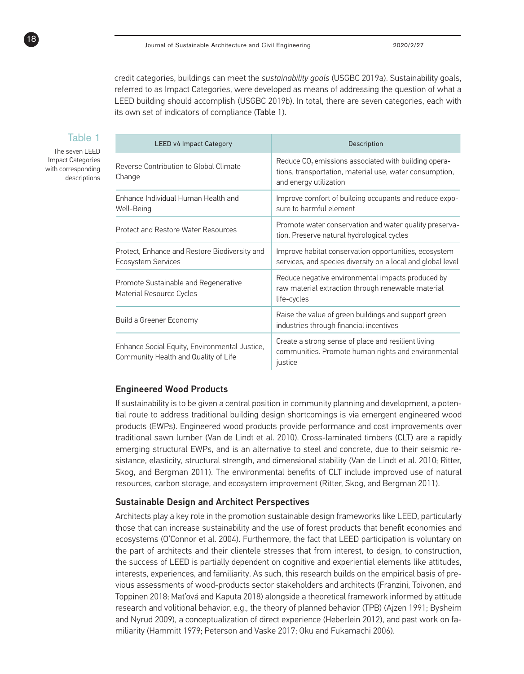credit categories, buildings can meet the *sustainability goals* (USGBC 2019a). Sustainability goals, referred to as Impact Categories, were developed as means of addressing the question of what a LEED building should accomplish (USGBC 2019b). In total, there are seven categories, each with its own set of indicators of compliance (Table 1).

### Table 1

The seven LEED Impact Categories with corresponding descriptions

18

| <b>LEED v4 Impact Category</b>                                                        | Description                                                                                                                                 |  |  |
|---------------------------------------------------------------------------------------|---------------------------------------------------------------------------------------------------------------------------------------------|--|--|
| Reverse Contribution to Global Climate<br>Change                                      | Reduce $CO2$ emissions associated with building opera-<br>tions, transportation, material use, water consumption,<br>and energy utilization |  |  |
| Enhance Individual Human Health and<br>Well-Being                                     | Improve comfort of building occupants and reduce expo-<br>sure to harmful element                                                           |  |  |
| <b>Protect and Restore Water Resources</b>                                            | Promote water conservation and water quality preserva-<br>tion. Preserve natural hydrological cycles                                        |  |  |
| Protect, Enhance and Restore Biodiversity and<br><b>Ecosystem Services</b>            | Improve habitat conservation opportunities, ecosystem<br>services, and species diversity on a local and global level                        |  |  |
| Promote Sustainable and Regenerative<br>Material Resource Cycles                      | Reduce negative environmental impacts produced by<br>raw material extraction through renewable material<br>life-cycles                      |  |  |
| Build a Greener Economy                                                               | Raise the value of green buildings and support green<br>industries through financial incentives                                             |  |  |
| Enhance Social Equity, Environmental Justice,<br>Community Health and Quality of Life | Create a strong sense of place and resilient living<br>communities. Promote human rights and environmental<br>justice                       |  |  |

### Engineered Wood Products

If sustainability is to be given a central position in community planning and development, a potential route to address traditional building design shortcomings is via emergent engineered wood products (EWPs). Engineered wood products provide performance and cost improvements over traditional sawn lumber (Van de Lindt et al. 2010). Cross-laminated timbers (CLT) are a rapidly emerging structural EWPs, and is an alternative to steel and concrete, due to their seismic resistance, elasticity, structural strength, and dimensional stability (Van de Lindt et al. 2010; Ritter, Skog, and Bergman 2011). The environmental benefits of CLT include improved use of natural resources, carbon storage, and ecosystem improvement (Ritter, Skog, and Bergman 2011).

### Sustainable Design and Architect Perspectives

Architects play a key role in the promotion sustainable design frameworks like LEED, particularly those that can increase sustainability and the use of forest products that benefit economies and ecosystems (O'Connor et al. 2004). Furthermore, the fact that LEED participation is voluntary on the part of architects and their clientele stresses that from interest, to design, to construction, the success of LEED is partially dependent on cognitive and experiential elements like attitudes, interests, experiences, and familiarity. As such, this research builds on the empirical basis of previous assessments of wood-products sector stakeholders and architects (Franzini, Toivonen, and Toppinen 2018; Mat'ová and Kaputa 2018) alongside a theoretical framework informed by attitude research and volitional behavior, e.g., the theory of planned behavior (TPB) (Ajzen 1991; Bysheim and Nyrud 2009), a conceptualization of direct experience (Heberlein 2012), and past work on familiarity (Hammitt 1979; Peterson and Vaske 2017; Oku and Fukamachi 2006).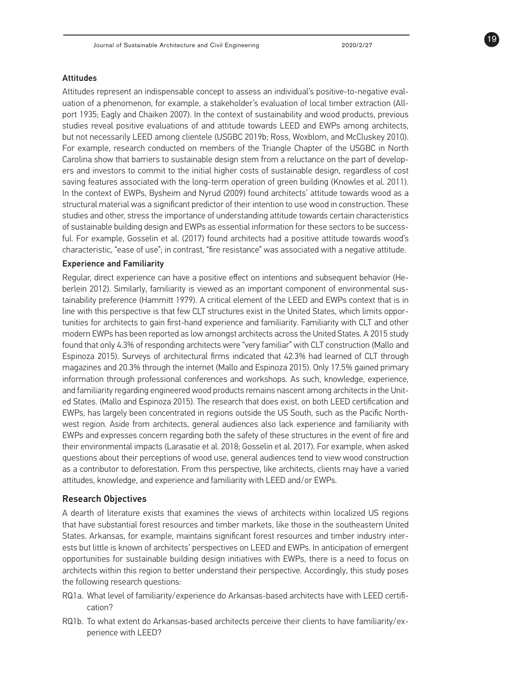19

### Attitudes

Attitudes represent an indispensable concept to assess an individual's positive-to-negative evaluation of a phenomenon, for example, a stakeholder's evaluation of local timber extraction (Allport 1935; Eagly and Chaiken 2007). In the context of sustainability and wood products, previous studies reveal positive evaluations of and attitude towards LEED and EWPs among architects, but not necessarily LEED among clientele (USGBC 2019b; Ross, Woxblom, and McCluskey 2010). For example, research conducted on members of the Triangle Chapter of the USGBC in North Carolina show that barriers to sustainable design stem from a reluctance on the part of developers and investors to commit to the initial higher costs of sustainable design, regardless of cost saving features associated with the long-term operation of green building (Knowles et al. 2011). In the context of EWPs, Bysheim and Nyrud (2009) found architects' attitude towards wood as a structural material was a significant predictor of their intention to use wood in construction. These studies and other, stress the importance of understanding attitude towards certain characteristics of sustainable building design and EWPs as essential information for these sectors to be successful. For example, Gosselin et al. (2017) found architects had a positive attitude towards wood's characteristic, "ease of use"; in contrast, "fire resistance" was associated with a negative attitude.

### Experience and Familiarity

Regular, direct experience can have a positive effect on intentions and subsequent behavior (Heberlein 2012). Similarly, familiarity is viewed as an important component of environmental sustainability preference (Hammitt 1979). A critical element of the LEED and EWPs context that is in line with this perspective is that few CLT structures exist in the United States, which limits opportunities for architects to gain first-hand experience and familiarity. Familiarity with CLT and other modern EWPs has been reported as low amongst architects across the United States. A 2015 study found that only 4.3% of responding architects were "very familiar" with CLT construction (Mallo and Espinoza 2015). Surveys of architectural firms indicated that 42.3% had learned of CLT through magazines and 20.3% through the internet (Mallo and Espinoza 2015). Only 17.5% gained primary information through professional conferences and workshops. As such, knowledge, experience, and familiarity regarding engineered wood products remains nascent among architects in the United States. (Mallo and Espinoza 2015). The research that does exist, on both LEED certification and EWPs, has largely been concentrated in regions outside the US South, such as the Pacific Northwest region. Aside from architects, general audiences also lack experience and familiarity with EWPs and expresses concern regarding both the safety of these structures in the event of fire and their environmental impacts (Larasatie et al. 2018; Gosselin et al. 2017). For example, when asked questions about their perceptions of wood use, general audiences tend to view wood construction as a contributor to deforestation. From this perspective, like architects, clients may have a varied attitudes, knowledge, and experience and familiarity with LEED and/or EWPs.

### Research Objectives

A dearth of literature exists that examines the views of architects within localized US regions that have substantial forest resources and timber markets, like those in the southeastern United States. Arkansas, for example, maintains significant forest resources and timber industry interests but little is known of architects' perspectives on LEED and EWPs. In anticipation of emergent opportunities for sustainable building design initiatives with EWPs, there is a need to focus on architects within this region to better understand their perspective. Accordingly, this study poses the following research questions:

- RQ1a. What level of familiarity/experience do Arkansas-based architects have with LEED certification?
- RQ1b. To what extent do Arkansas-based architects perceive their clients to have familiarity/experience with LEED?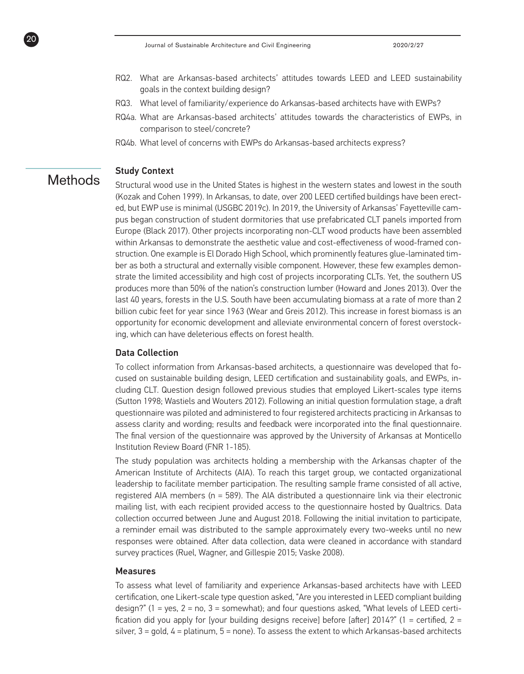- RQ2. What are Arkansas-based architects' attitudes towards LEED and LEED sustainability goals in the context building design?
- RQ3. What level of familiarity/experience do Arkansas-based architects have with EWPs?
- RQ4a. What are Arkansas-based architects' attitudes towards the characteristics of EWPs, in comparison to steel/concrete?
- RQ4b. What level of concerns with EWPs do Arkansas-based architects express?

### Study Context

**Methods** 

20

Structural wood use in the United States is highest in the western states and lowest in the south (Kozak and Cohen 1999). In Arkansas, to date, over 200 LEED certified buildings have been erected, but EWP use is minimal (USGBC 2019c). In 2019, the University of Arkansas' Fayetteville campus began construction of student dormitories that use prefabricated CLT panels imported from Europe (Black 2017). Other projects incorporating non-CLT wood products have been assembled within Arkansas to demonstrate the aesthetic value and cost-effectiveness of wood-framed construction. One example is El Dorado High School, which prominently features glue-laminated timber as both a structural and externally visible component. However, these few examples demonstrate the limited accessibility and high cost of projects incorporating CLTs. Yet, the southern US produces more than 50% of the nation's construction lumber (Howard and Jones 2013). Over the last 40 years, forests in the U.S. South have been accumulating biomass at a rate of more than 2 billion cubic feet for year since 1963 (Wear and Greis 2012). This increase in forest biomass is an opportunity for economic development and alleviate environmental concern of forest overstocking, which can have deleterious effects on forest health.

### Data Collection

To collect information from Arkansas-based architects, a questionnaire was developed that focused on sustainable building design, LEED certification and sustainability goals, and EWPs, including CLT. Question design followed previous studies that employed Likert-scales type items (Sutton 1998; Wastiels and Wouters 2012). Following an initial question formulation stage, a draft questionnaire was piloted and administered to four registered architects practicing in Arkansas to assess clarity and wording; results and feedback were incorporated into the final questionnaire. The final version of the questionnaire was approved by the University of Arkansas at Monticello Institution Review Board (FNR 1-185).

The study population was architects holding a membership with the Arkansas chapter of the American Institute of Architects (AIA). To reach this target group, we contacted organizational leadership to facilitate member participation. The resulting sample frame consisted of all active, registered AIA members (n = 589). The AIA distributed a questionnaire link via their electronic mailing list, with each recipient provided access to the questionnaire hosted by Qualtrics. Data collection occurred between June and August 2018. Following the initial invitation to participate, a reminder email was distributed to the sample approximately every two-weeks until no new responses were obtained. After data collection, data were cleaned in accordance with standard survey practices (Ruel, Wagner, and Gillespie 2015; Vaske 2008).

### **Measures**

To assess what level of familiarity and experience Arkansas-based architects have with LEED certification, one Likert-scale type question asked, "Are you interested in LEED compliant building design?" (1 = yes, 2 = no, 3 = somewhat); and four questions asked, "What levels of LEED certification did you apply for [your building designs receive] before [after] 2014?" (1 = certified, 2 = silver,  $3 =$  gold,  $4 =$  platinum,  $5 =$  none). To assess the extent to which Arkansas-based architects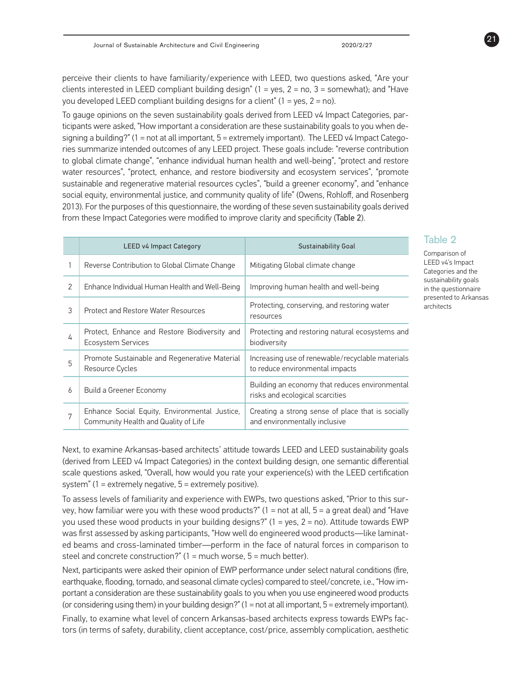perceive their clients to have familiarity/experience with LEED, two questions asked, "Are your clients interested in LEED compliant building design" (1 = yes, 2 = no, 3 = somewhat); and "Have you developed LEED compliant building designs for a client"  $(1 = yes, 2 = no)$ .

To gauge opinions on the seven sustainability goals derived from LEED v4 Impact Categories, participants were asked, "How important a consideration are these sustainability goals to you when designing a building?" (1 = not at all important, 5 = extremely important). The LEED v4 Impact Categories summarize intended outcomes of any LEED project. These goals include: "reverse contribution to global climate change", "enhance individual human health and well-being", "protect and restore water resources", "protect, enhance, and restore biodiversity and ecosystem services", "promote sustainable and regenerative material resources cycles", "build a greener economy", and "enhance social equity, environmental justice, and community quality of life" (Owens, Rohloff, and Rosenberg 2013). For the purposes of this questionnaire, the wording of these seven sustainability goals derived from these Impact Categories were modified to improve clarity and specificity (Table 2).

|   | <b>LEED v4 Impact Category</b>                                                        | <b>Sustainability Goal</b>                                                          |  |  |
|---|---------------------------------------------------------------------------------------|-------------------------------------------------------------------------------------|--|--|
|   | Reverse Contribution to Global Climate Change                                         | Mitigating Global climate change                                                    |  |  |
| 2 | Enhance Individual Human Health and Well-Being                                        | Improving human health and well-being                                               |  |  |
| 3 | Protect and Restore Water Resources                                                   | Protecting, conserving, and restoring water<br>resources                            |  |  |
| 4 | Protect, Enhance and Restore Biodiversity and<br><b>Ecosystem Services</b>            | Protecting and restoring natural ecosystems and<br>biodiversity                     |  |  |
| 5 | Promote Sustainable and Regenerative Material<br>Resource Cycles                      | Increasing use of renewable/recyclable materials<br>to reduce environmental impacts |  |  |
| 6 | Build a Greener Economy                                                               | Building an economy that reduces environmental<br>risks and ecological scarcities   |  |  |
| 7 | Enhance Social Equity, Environmental Justice,<br>Community Health and Quality of Life | Creating a strong sense of place that is socially<br>and environmentally inclusive  |  |  |

# Table 2

Comparison of LEED v4's Impact Categories and the sustainability goals in the questionnaire presented to Arkansas architects

21

Next, to examine Arkansas-based architects' attitude towards LEED and LEED sustainability goals (derived from LEED v4 Impact Categories) in the context building design, one semantic differential scale questions asked, "Overall, how would you rate your experience(s) with the LEED certification system" (1 = extremely negative, 5 = extremely positive).

To assess levels of familiarity and experience with EWPs, two questions asked, "Prior to this survey, how familiar were you with these wood products?"  $(1 = not at all, 5 = a great deal)$  and "Have you used these wood products in your building designs?" (1 = yes, 2 = no). Attitude towards EWP was first assessed by asking participants, "How well do engineered wood products—like laminated beams and cross-laminated timber—perform in the face of natural forces in comparison to steel and concrete construction?" (1 = much worse, 5 = much better).

Next, participants were asked their opinion of EWP performance under select natural conditions (fire, earthquake, flooding, tornado, and seasonal climate cycles) compared to steel/concrete, i.e., "How important a consideration are these sustainability goals to you when you use engineered wood products (or considering using them) in your building design?" (1 = not at all important, 5 = extremely important).

Finally, to examine what level of concern Arkansas-based architects express towards EWPs factors (in terms of safety, durability, client acceptance, cost/price, assembly complication, aesthetic

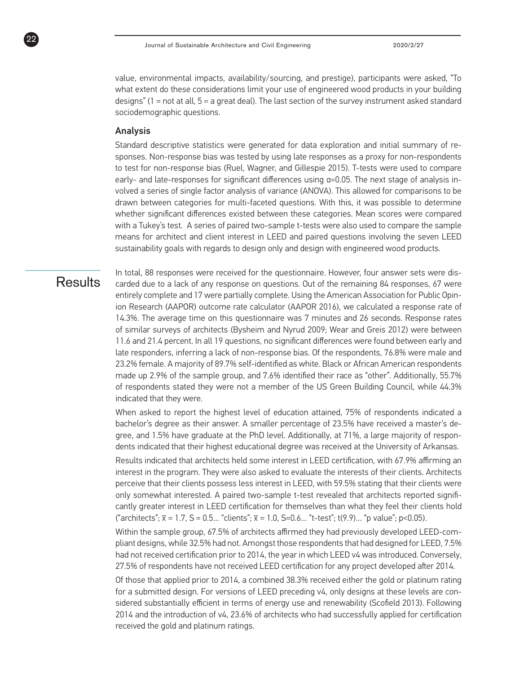value, environmental impacts, availability/sourcing, and prestige), participants were asked, "To what extent do these considerations limit your use of engineered wood products in your building designs" (1 = not at all, 5 = a great deal). The last section of the survey instrument asked standard sociodemographic questions.

### Analysis

Standard descriptive statistics were generated for data exploration and initial summary of responses. Non-response bias was tested by using late responses as a proxy for non-respondents to test for non-response bias (Ruel, Wagner, and Gillespie 2015). T-tests were used to compare early- and late-responses for significant differences using α=0.05. The next stage of analysis involved a series of single factor analysis of variance (ANOVA). This allowed for comparisons to be drawn between categories for multi-faceted questions. With this, it was possible to determine whether significant differences existed between these categories. Mean scores were compared with a Tukey's test. A series of paired two-sample t-tests were also used to compare the sample means for architect and client interest in LEED and paired questions involving the seven LEED sustainability goals with regards to design only and design with engineered wood products.

# **Results**

22

In total, 88 responses were received for the questionnaire. However, four answer sets were discarded due to a lack of any response on questions. Out of the remaining 84 responses, 67 were entirely complete and 17 were partially complete. Using the American Association for Public Opinion Research (AAPOR) outcome rate calculator (AAPOR 2016), we calculated a response rate of 14.3%. The average time on this questionnaire was 7 minutes and 26 seconds. Response rates of similar surveys of architects (Bysheim and Nyrud 2009; Wear and Greis 2012) were between 11.6 and 21.4 percent. In all 19 questions, no significant differences were found between early and late responders, inferring a lack of non-response bias. Of the respondents, 76.8% were male and 23.2% female. A majority of 89.7% self-identified as white. Black or African American respondents made up 2.9% of the sample group, and 7.6% identified their race as "other". Additionally, 55.7% of respondents stated they were not a member of the US Green Building Council, while 44.3% indicated that they were.

When asked to report the highest level of education attained, 75% of respondents indicated a bachelor's degree as their answer. A smaller percentage of 23.5% have received a master's degree, and 1.5% have graduate at the PhD level. Additionally, at 71%, a large majority of respondents indicated that their highest educational degree was received at the University of Arkansas.

Results indicated that architects held some interest in LEED certification, with 67.9% affirming an interest in the program. They were also asked to evaluate the interests of their clients. Architects perceive that their clients possess less interest in LEED, with 59.5% stating that their clients were only somewhat interested. A paired two-sample t-test revealed that architects reported significantly greater interest in LEED certification for themselves than what they feel their clients hold ("architects"; x− = 1.7, S = 0.5… "clients"; x− = 1.0, S=0.6… "t-test"; t(9.9)… "p value"; p<0.05).

Within the sample group, 67.5% of architects affirmed they had previously developed LEED-compliant designs, while 32.5% had not. Amongst those respondents that had designed for LEED, 7.5% had not received certification prior to 2014, the year in which LEED v4 was introduced. Conversely, 27.5% of respondents have not received LEED certification for any project developed after 2014.

Of those that applied prior to 2014, a combined 38.3% received either the gold or platinum rating for a submitted design. For versions of LEED preceding v4, only designs at these levels are considered substantially efficient in terms of energy use and renewability (Scofield 2013). Following 2014 and the introduction of v4, 23.6% of architects who had successfully applied for certification received the gold and platinum ratings.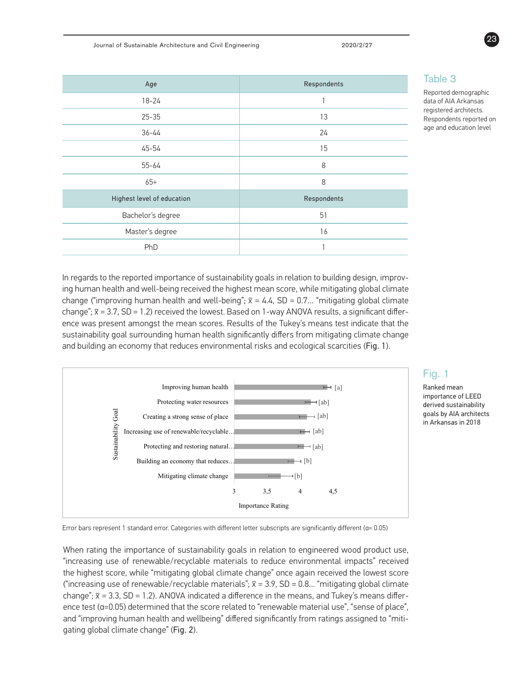Journal of Sustainable Architecture and Civil Engineering 2020/2/27

| Age                        | Respondents              |  |  |  |
|----------------------------|--------------------------|--|--|--|
| $18 - 24$                  | $\overline{\phantom{a}}$ |  |  |  |
| $25 - 35$                  | 13                       |  |  |  |
| $36 - 44$                  | 24                       |  |  |  |
| 45-54                      | 15                       |  |  |  |
| 55-64                      | 8                        |  |  |  |
| $65+$                      | 8                        |  |  |  |
| Highest level of education | Respondents              |  |  |  |
| Bachelor's degree          | 51                       |  |  |  |
| Master's degree            | 16                       |  |  |  |
| PhD                        | 1                        |  |  |  |

### Table 3

Reported demographic data of AIA Arkansas registered architects. Respondents reported on age and education level

In regards to the reported importance of sustainability goals in relation to building design, improving human health and well-being received the highest mean score, while mitigating global climate change ("improving human health and well-being";  $\bar{x} = 4.4$ , SD = 0.7... "mitigating global climate change"; x− = 3.7, SD = 1.2) received the lowest. Based on 1-way ANOVA results, a significant difference was present amongst the mean scores. Results of the Tukey's means test indicate that the sustainability goal surrounding human health significantly differs from mitigating climate change and building an economy that reduces environmental risks and ecological scarcities (Fig. 1).



## Fig. 1

Ranked mean importance of LEED derived sustainability goals by AIA architects in Arkansas in 2018

Error bars represent 1 standard error. Categories with different letter subscripts are significantly different (a= 0.05)

When rational ration ration ration to engineer of the importance work the highest score, while "mitigating global climate change" once again received the lowest score ("increasing use of renewable/recyclable materials";  $\bar{x}$  = 3.9, SD = 0.8... "mitigating global climate  $\frac{3}{5}$  SD = 1.2). ANOVA indicated a difference in the means, and Tukey's ence test (a=0.05) determined that the score related to "renewable material use", "sense of place", stoot able that we are the sense of place to "for place", "individual use", "is -and "improving human health and wellbeing" differed significantly from ratings assigned to "miti change";  $\bar{x}$  = 3.3, SD = 1.2). ANOVA indicated a difference in the means, and Tukey's means differgating global climate change" (**Fig. 2**). When rating the importance of sustainability goals in relation to engineered wood product use, "increasing use of renewable/recyclable materials to reduce environmental impacts" received

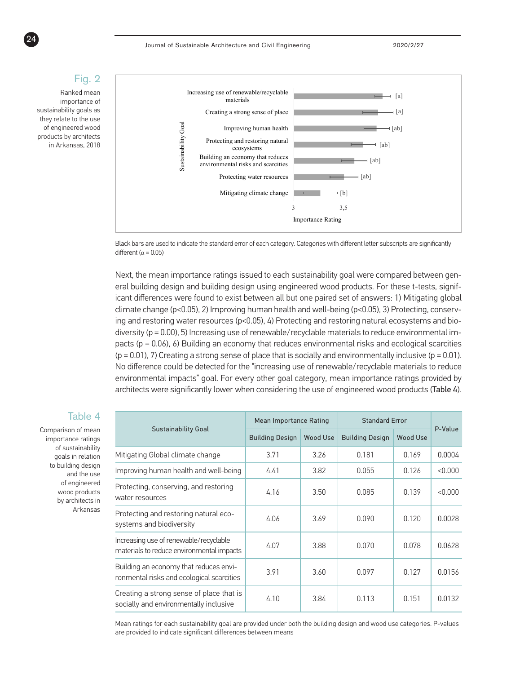### Fig. 2 Ranked mean importance of

sustainability goals as they relate to the use of engineered wood products by architects in Arkansas, 2018



Black bars are used to indicate the standard error of each category. Categories with different letter subscripts are significantly different ( $\alpha$  = 0.05) indicate the standard error of each category. Categories with different letter subscript

Next, the mean importance ratings issued to each sustainability goal were compared between general building design and building design using engineered wood products. For these t-tests, signifwere maning assign and a maning assign analog suggests of the experiment of answers of these, significant differences were found to exist between all but one paired set of answers: 1) Mitigating global climate change (p<0.05), 2) Improving human health and well-being (p<0.05), 3) Protecting, conserving and restoring water resources (p<0.05), 4) Protecting and restoring natural ecosystems and biodiversity (p = 0.00), 5) Increasing use of renewable/recyclable materials to reduce environmental impacts (p = 0.06), 6) Building an economy that reduces environmental risks and ecological scarcities  $(p = 0.01)$ , 7) Creating a strong sense of place that is socially and environmentally inclusive (p = 0.01). No difference could be detected for the "increasing use of renewable/recyclable materials to reduce environmental impacts" goal. For every other goal category, mean importance ratings provided by architects were significantly lower when considering the use of engineered wood products (Table 4). were found to exist between all but one paired set of answers: 1) Miti l), 5) Increasing use of renewable/recyclable materials to reduce enviro  $i$ gnificantly lower when considering the use of engineered wood produ water resources (p<0.05), 4) Protecting and restoring natural ecosyst ing a strong sense or place that is socially and environmentally inclus

|                                                                                     | Mean Importance Rating |                 | <b>Standard Frror</b>  |                 |         |
|-------------------------------------------------------------------------------------|------------------------|-----------------|------------------------|-----------------|---------|
| <b>Sustainability Goal</b>                                                          | <b>Building Design</b> | <b>Wood Use</b> | <b>Building Design</b> | <b>Wood Use</b> | P-Value |
| Mitigating Global climate change                                                    | 3.71                   | 3.26            | 0.181                  | 0.169           | 0.0004  |
| Improving human health and well-being                                               | 4.41                   | 3.82            | 0.055                  | 0.126           | < 0.000 |
| Protecting, conserving, and restoring<br>water resources                            | 4.16                   | 3.50            | 0.085                  | 0.139           | < 0.000 |
| Protecting and restoring natural eco-<br>systems and biodiversity                   | 4.06                   | 3.69            | 0.090                  | 0.120           | 0.0028  |
| Increasing use of renewable/recyclable<br>materials to reduce environmental impacts | 4.07                   | 3.88            | 0.070                  | 0.078           | 0.0628  |
| Building an economy that reduces envi-<br>ronmental risks and ecological scarcities | 3.91                   | 3.60            | 0.097                  | 0.127           | 0.0156  |
| Creating a strong sense of place that is<br>socially and environmentally inclusive  | 4.10                   | 3.84            | 0.113                  | 0.151           | 0.0132  |

Mean ratings for each sustainability goal are provided under both the building design and wood use categories. P-values are provided to indicate significant differences between means

### Table 4

Comparison of mean importance ratings of sustainability goals in relation to building design and the use of engineered wood products by architects in Arkansas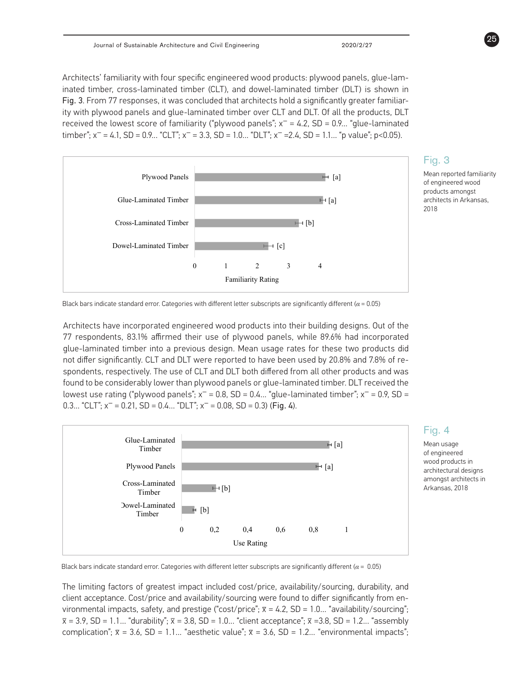Architects' familiarity with four specific engineered wood products: plywood panels, glue-laminated timber, cross-laminated timber (CLT), and dowel-laminated timber (DLT) is shown in Fig. 3. From 77 responses, it was concluded that architects hold a significantly greater familiarity with plywood panels and glue-laminated timber over CLT and DLT. Of all the products, DLT received the lowest score of familiarity ("plywood panels"; x− = 4.2, SD = 0.9… "glue-laminated timber"; x<sup>-</sup> = 4.1, SD = 0.9... "CLT"; x<sup>-</sup> = 3.3, SD = 1.0... "DLT"; x<sup>-</sup> = 2.4, SD = 1.1... "p value"; p<0.05).



# Fig. 3

Mean reported familiarity of engineered wood products amongst architects in Arkansas, 2018

Black bars indicate standard error. Categories with different letter subscripts are significantly different ( $\alpha$  = 0.05)

ord differ significantly. CLT and DLT were reported to have been used by 20.8% and 7.8% of re- $\frac{1}{2}$  and  $\frac{1}{2}$  or  $\frac{1}{2}$  and  $\frac{1}{2}$  both directed from at lowest use rating ("plywood panels";  $x^-$  = 0.8, SD = 0.4… "glue-laminated timber";  $x^-$  = 0.9, SD = glue-laminated timber into a previous design. Mean usage rates for these two products did  $0.21$ . SD = 0.4... "DLT": x<sup>-</sup> = 0 *different (α= 0.05).* Architects have incorporated engineered wood products into their building designs. Out of the found to be considerably lower than plywood panels or glue-laminated timber. DLT received the mediate, respectively. The use of CLT and DLT both differed from all other products and was spondents, respectively. The use of CLT and DLT both differed from all other products and was 0.3… "CLT";  $x^- = 0.21$ , SD = 0.4… "DLT";  $x^- = 0.08$ , SD = 0.3) (Fig. 4). The contract of the complete the complete the complete the complete the complete the complete the complete the<br>The respondents, 83.1% affirmed their use of plywood panels, while 89.6% had incorporated



### Fig. 4

Mean usage of engineered wood products in architectural designs amongst architects in Arkansas, 2018

Black bars indicate standard error. Categories with different letter subscripts are significantly different ( $a$  = 0.05) *Arkansas, 2018. Black bars indicate standard error. Categories with different letter subscripts are* 

prestige was reported as having the lowest degree of impact, and significantly differed from all other categories The limiting factors of greatest impact included cost/price, availability/sourcing, durability, and client acceptance. Cost/price and availability/sourcing were found to differ significantly from environmental impacts, safety, and prestige ("cost/price";  $\bar{x} = 4.2$ , SD = 1.0... "availability/sourcing";  $\bar{x}$  = 3.9, SD = 1.1... "durability";  $\bar{x}$  = 3.8, SD = 1.0... "client acceptance";  $\bar{x}$  =3.8, SD = 1.2... "assembly  $\frac{1}{2}$  and presets ( $\frac{1}{2}$ ,  $\frac{1}{2}$ ,  $\frac{1}{2}$ ,  $\frac{1}{2}$ ,  $\frac{1}{2}$ ,  $\frac{1}{2}$ ,  $\frac{1}{2}$ ,  $\frac{1}{2}$ ,  $\frac{1}{2}$ ,  $\frac{1}{2}$ ,  $\frac{1}{2}$ ,  $\frac{1}{2}$ ,  $\frac{1}{2}$ ,  $\frac{1}{2}$ ,  $\frac{1}{2}$ ,  $\frac{1}{2}$ ,  $\frac{1}{2}$ ,  $\frac{1}{2}$ , complication";  $\bar{x}$  = 3.6, SD = 1.1... "aesthetic value";  $\bar{x}$  = 3.6, SD = 1.2... "environmental impacts";

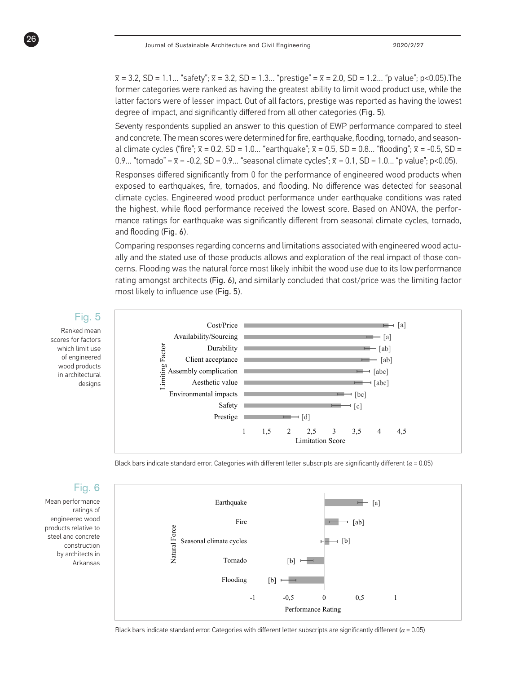x − = 3.2, SD = 1.1… "safety"; x− = 3.2, SD = 1.3… "prestige" = x− = 2.0, SD = 1.2… "p value"; p<0.05).The former categories were ranked as having the greatest ability to limit wood product use, while the latter factors were of lesser impact. Out of all factors, prestige was reported as having the lowest degree of impact, and significantly differed from all other categories (Fig. 5).

Seventy respondents supplied an answer to this question of EWP performance compared to steel and concrete. The mean scores were determined for fire, earthquake, flooding, tornado, and seasonal climate cycles ("fire";  $\bar{x}$  = 0.2, SD = 1.0… "earthquake";  $\bar{x}$  = 0.5, SD = 0.8… "flooding";  $\bar{x}$  = -0.5, SD = 0.9… "tornado" =  $\bar{x}$  = -0.2, SD = 0.9... "seasonal climate cycles";  $\bar{x}$  = 0.1, SD = 1.0... "p value"; p<0.05).

Responses differed significantly from 0 for the performance of engineered wood products when exposed to earthquakes, fire, tornados, and flooding. No difference was detected for seasonal climate cycles. Engineered wood product performance under earthquake conditions was rated the highest, while flood performance received the lowest score. Based on ANOVA, the performance ratings for earthquake was significantly different from seasonal climate cycles, tornado, and flooding (Fig. 6).

Comparing responses regarding concerns and limitations associated with engineered wood actually and the stated use of those products allows and exploration of the real impact of those concerns. Flooding was the natural force most likely inhibit the wood use due to its low performance rating amongst architects (Fig. 6), and similarly concluded that cost/price was the limiting factor most likely to influence use (Fig. 5).



Black bars indicate standard error. Categories with different letter subscripts are significantly different ( $\alpha$  = 0.05)



# Fig. 6

Mean performance ratings of engineered wood products relative to steel and concrete construction by architects in Arkansas

26

Black bars indicate standard error. Categories with different letter subscripts are significantly different ( $\alpha$  = 0.05)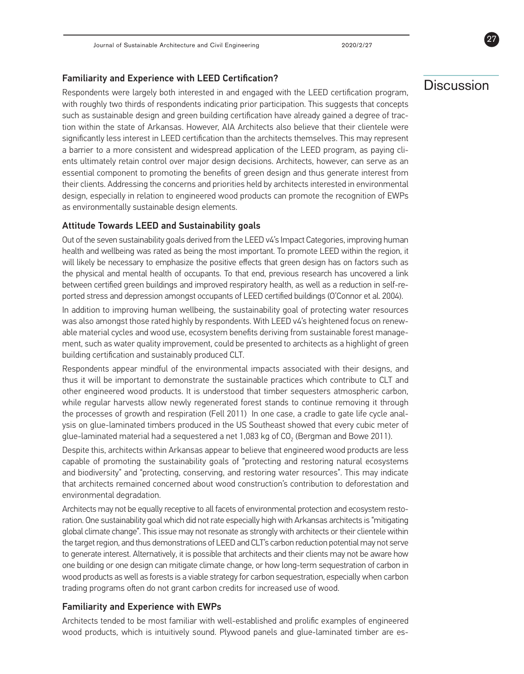Familiarity and Experience with LEED Certification?<br>Respondents were largely both interested in and engaged with the LEED certification program, with roughly two thirds of respondents indicating prior participation. This suggests that concepts such as sustainable design and green building certification have already gained a degree of traction within the state of Arkansas. However, AIA Architects also believe that their clientele were significantly less interest in LEED certification than the architects themselves. This may represent a barrier to a more consistent and widespread application of the LEED program, as paying clients ultimately retain control over major design decisions. Architects, however, can serve as an essential component to promoting the benefits of green design and thus generate interest from their clients. Addressing the concerns and priorities held by architects interested in environmental design, especially in relation to engineered wood products can promote the recognition of EWPs as environmentally sustainable design elements.

### Attitude Towards LEED and Sustainability goals

Out of the seven sustainability goals derived from the LEED v4's Impact Categories, improving human health and wellbeing was rated as being the most important. To promote LEED within the region, it will likely be necessary to emphasize the positive effects that green design has on factors such as the physical and mental health of occupants. To that end, previous research has uncovered a link between certified green buildings and improved respiratory health, as well as a reduction in self-reported stress and depression amongst occupants of LEED certified buildings (O'Connor et al. 2004).

In addition to improving human wellbeing, the sustainability goal of protecting water resources was also amongst those rated highly by respondents. With LEED v4's heightened focus on renewable material cycles and wood use, ecosystem benefits deriving from sustainable forest management, such as water quality improvement, could be presented to architects as a highlight of green building certification and sustainably produced CLT.

Respondents appear mindful of the environmental impacts associated with their designs, and thus it will be important to demonstrate the sustainable practices which contribute to CLT and other engineered wood products. It is understood that timber sequesters atmospheric carbon, while regular harvests allow newly regenerated forest stands to continue removing it through the processes of growth and respiration (Fell 2011) In one case, a cradle to gate life cycle analysis on glue-laminated timbers produced in the US Southeast showed that every cubic meter of glue-laminated material had a sequestered a net  $1,083$  kg of  $CO<sub>2</sub>$  (Bergman and Bowe 2011).

Despite this, architects within Arkansas appear to believe that engineered wood products are less capable of promoting the sustainability goals of "protecting and restoring natural ecosystems and biodiversity" and "protecting, conserving, and restoring water resources". This may indicate that architects remained concerned about wood construction's contribution to deforestation and environmental degradation.

Architects may not be equally receptive to all facets of environmental protection and ecosystem restoration. One sustainability goal which did not rate especially high with Arkansas architects is "mitigating global climate change". This issue may not resonate as strongly with architects or their clientele within the target region, and thus demonstrations of LEED and CLT's carbon reduction potential may not serve to generate interest. Alternatively, it is possible that architects and their clients may not be aware how one building or one design can mitigate climate change, or how long-term sequestration of carbon in wood products as well as forests is a viable strategy for carbon sequestration, especially when carbon trading programs often do not grant carbon credits for increased use of wood.

### Familiarity and Experience with EWPs

Architects tended to be most familiar with well-established and prolific examples of engineered wood products, which is intuitively sound. Plywood panels and glue-laminated timber are es27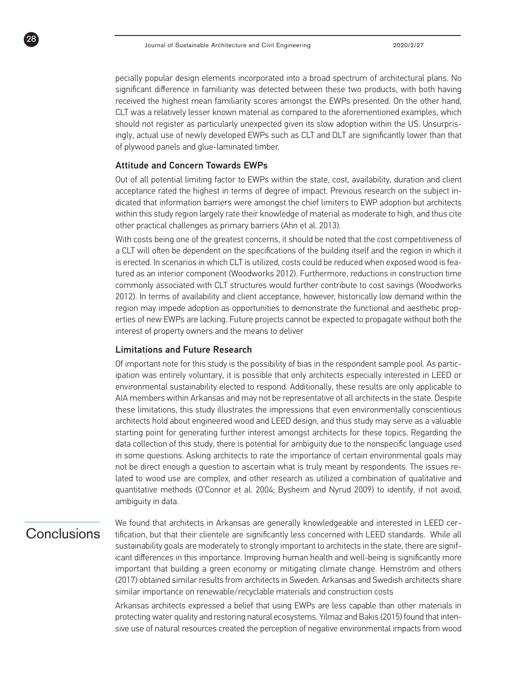pecially popular design elements incorporated into a broad spectrum of architectural plans. No significant difference in familiarity was detected between these two products, with both having received the highest mean familiarity scores amongst the EWPs presented. On the other hand, CLT was a relatively lesser known material as compared to the aforementioned examples, which should not register as particularly unexpected given its slow adoption within the US. Unsurprisingly, actual use of newly developed EWPs such as CLT and DLT are significantly lower than that of plywood panels and glue-laminated timber.

### Attitude and Concern Towards EWPs

Out of all potential limiting factor to EWPs within the state, cost, availability, duration and client acceptance rated the highest in terms of degree of impact. Previous research on the subject indicated that information barriers were amongst the chief limiters to EWP adoption but architects within this study region largely rate their knowledge of material as moderate to high, and thus cite other practical challenges as primary barriers (Ahn et al. 2013).

With costs being one of the greatest concerns, it should be noted that the cost competitiveness of a CLT will often be dependent on the specifications of the building itself and the region in which it is erected. In scenarios in which CLT is utilized, costs could be reduced when exposed wood is featured as an interior component (Woodworks 2012). Furthermore, reductions in construction time commonly associated with CLT structures would further contribute to cost savings (Woodworks 2012). In terms of availability and client acceptance, however, historically low demand within the region may impede adoption as opportunities to demonstrate the functional and aesthetic properties of new EWPs are lacking. Future projects cannot be expected to propagate without both the interest of property owners and the means to deliver

### Limitations and Future Research

Of important note for this study is the possibility of bias in the respondent sample pool. As participation was entirely voluntary, it is possible that only architects especially interested in LEED or environmental sustainability elected to respond. Additionally, these results are only applicable to AIA members within Arkansas and may not be representative of all architects in the state. Despite these limitations, this study illustrates the impressions that even environmentally conscientious architects hold about engineered wood and LEED design, and thus study may serve as a valuable starting point for generating further interest amongst architects for these topics. Regarding the data collection of this study, there is potential for ambiguity due to the nonspecific language used in some questions. Asking architects to rate the importance of certain environmental goals may not be direct enough a question to ascertain what is truly meant by respondents. The issues related to wood use are complex, and other research as utilized a combination of qualitative and quantitative methods (O'Connor et al. 2004; Bysheim and Nyrud 2009) to identify, if not avoid, ambiguity in data.

# Conclusions

98

We found that architects in Arkansas are generally knowledgeable and interested in LEED certification, but that their clientele are significantly less concerned with LEED standards. While all sustainability goals are moderately to strongly important to architects in the state, there are significant differences in this importance. Improving human health and well-being is significantly more important that building a green economy or mitigating climate change. Hemström and others (2017) obtained similar results from architects in Sweden. Arkansas and Swedish architects share similar importance on renewable/recyclable materials and construction costs

Arkansas architects expressed a belief that using EWPs are less capable than other materials in protecting water quality and restoring natural ecosystems. Yilmaz and Bakis (2015) found that intensive use of natural resources created the perception of negative environmental impacts from wood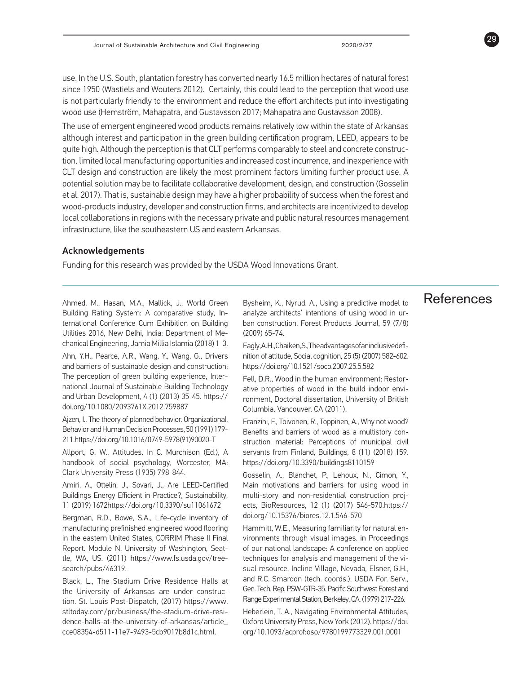use. In the U.S. South, plantation forestry has converted nearly 16.5 million hectares of natural forest since 1950 (Wastiels and Wouters 2012). Certainly, this could lead to the perception that wood use is not particularly friendly to the environment and reduce the effort architects put into investigating wood use (Hemström, Mahapatra, and Gustavsson 2017; Mahapatra and Gustavsson 2008).

The use of emergent engineered wood products remains relatively low within the state of Arkansas although interest and participation in the green building certification program, LEED, appears to be quite high. Although the perception is that CLT performs comparably to steel and concrete construction, limited local manufacturing opportunities and increased cost incurrence, and inexperience with CLT design and construction are likely the most prominent factors limiting further product use. A potential solution may be to facilitate collaborative development, design, and construction (Gosselin et al. 2017). That is, sustainable design may have a higher probability of success when the forest and wood-products industry, developer and construction firms, and architects are incentivized to develop local collaborations in regions with the necessary private and public natural resources management infrastructure, like the southeastern US and eastern Arkansas.

### Acknowledgements

Funding for this research was provided by the USDA Wood Innovations Grant.

Ahmed, M., Hasan, M.A., Mallick, J., World Green Building Rating System: A comparative study, International Conference Cum Exhibition on Building Utilities 2016, New Delhi, India: Department of Mechanical Engineering, Jamia Millia Islamia (2018) 1-3.

Ahn, Y.H., Pearce, A.R., Wang, Y., Wang, G., Drivers and barriers of sustainable design and construction: The perception of green building experience, International Journal of Sustainable Building Technology and Urban Development, 4 (1) (2013) 35-45. https:// doi.org/10.1080/2093761X.2012.759887

Ajzen, I., The theory of planned behavior. Organizational, Behavior and Human Decision Processes, 50 (1991) 179- 211.https://doi.org/10.1016/0749-5978(91)90020-T

Allport, G. W., Attitudes. In C. Murchison (Ed.), A handbook of social psychology, Worcester, MA: Clark University Press (1935) 798-844.

Amiri, A., Ottelin, J., Sovari, J., Are LEED-Certified Buildings Energy Efficient in Practice?, Sustainability, 11 (2019) 1672https://doi.org/10.3390/su11061672

Bergman, R.D., Bowe, S.A., Life-cycle inventory of manufacturing prefinished engineered wood flooring in the eastern United States, CORRIM Phase II Final Report. Module N. University of Washington, Seattle, WA, US. (2011) https://www.fs.usda.gov/treesearch/pubs/46319.

Black, L., The Stadium Drive Residence Halls at the University of Arkansas are under construction. St. Louis Post-Dispatch, (2017) https://www. stltoday.com/pr/business/the-stadium-drive-residence-halls-at-the-university-of-arkansas/article\_ cce08354-d511-11e7-9493-5cb9017b8d1c.html.

Bysheim, K., Nyrud. A., Using a predictive model to analyze architects' intentions of using wood in urban construction, Forest Products Journal, 59 (7/8) (2009) 65-74.

Eagly, A. H., Chaiken, S., The advantages of an inclusive definition of attitude, Social cognition, 25 (5) (2007) 582-602. https://doi.org/10.1521/soco.2007.25.5.582

Fell, D.R., Wood in the human environment: Restorative properties of wood in the build indoor environment, Doctoral dissertation, University of British Columbia, Vancouver, CA (2011).

Franzini, F., Toivonen, R., Toppinen, A., Why not wood? Benefits and barriers of wood as a multistory construction material: Perceptions of municipal civil servants from Finland, Buildings, 8 (11) (2018) 159. https://doi.org/10.3390/buildings8110159

Gosselin, A., Blanchet, P., Lehoux, N., Cimon, Y., Main motivations and barriers for using wood in multi-story and non-residential construction projects, BioResources, 12 (1) (2017) 546-570.https:// doi.org/10.15376/biores.12.1.546-570

Hammitt, W.E., Measuring familiarity for natural environments through visual images. in Proceedings of our national landscape: A conference on applied techniques for analysis and management of the visual resource, Incline Village, Nevada, Elsner, G.H., and R.C. Smardon (tech. coords.). USDA For. Serv., Gen. Tech. Rep. PSW-GTR-35. Pacific Southwest Forest and Range Experimental Station, Berkeley, CA. (1979) 217-226.

Heberlein, T. A., Navigating Environmental Attitudes, Oxford University Press, New York (2012). https://doi. org/10.1093/acprof:oso/9780199773329.001.0001

# References

29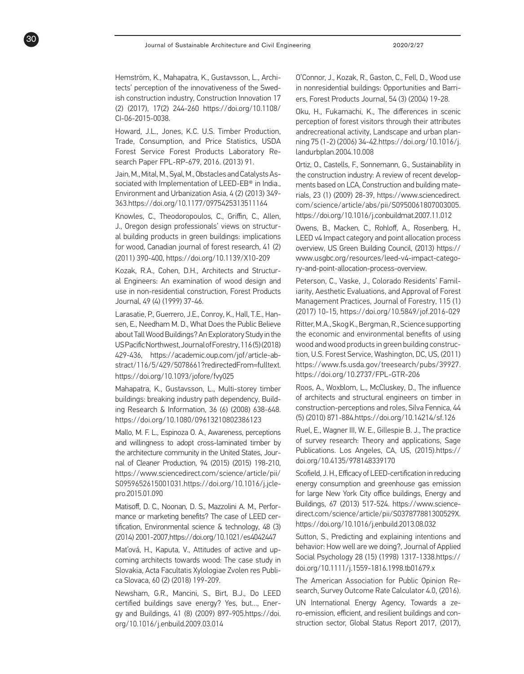Hemström, K., Mahapatra, K., Gustavsson, L., Architects' perception of the innovativeness of the Swedish construction industry, Construction Innovation 17 (2) (2017), 17(2) 244-260 https://doi.org/10.1108/ CI-06-2015-0038.

30

Howard, J.L., Jones, K.C. U.S. Timber Production, Trade, Consumption, and Price Statistics, USDA Forest Service Forest Products Laboratory Research Paper FPL-RP-679, 2016. (2013) 91.

Jain, M., Mital, M., Syal, M., Obstacles and Catalysts Associated with Implementation of LEED-EB® in India., Environment and Urbanization Asia, 4 (2) (2013) 349- 363.https://doi.org/10.1177/0975425313511164

Knowles, C., Theodoropoulos, C., Griffin, C., Allen, J., Oregon design professionals' views on structural building products in green buildings: implications for wood, Canadian journal of forest research, 41 (2) (2011) 390-400, https://doi.org/10.1139/X10-209

Kozak, R.A., Cohen, D.H., Architects and Structural Engineers: An examination of wood design and use in non-residential construction, Forest Products Journal, 49 (4) (1999) 37-46.

Larasatie, P., Guerrero, J.E., Conroy, K., Hall, T.E., Hansen, E., Needham M. D., What Does the Public Believe about Tall Wood Buildings? An Exploratory Study in the US Pacific Northwest, Journal of Forestry, 116 (5) (2018) 429-436, https://academic.oup.com/jof/article-abstract/116/5/429/5078661?redirectedFrom=fulltext. https://doi.org/10.1093/jofore/fvy025

Mahapatra, K., Gustavsson, L., Multi-storey timber buildings: breaking industry path dependency, Building Research & Information, 36 (6) (2008) 638-648. https://doi.org/10.1080/09613210802386123

Mallo, M. F. L., Espinoza O. A., Awareness, perceptions and willingness to adopt cross-laminated timber by the architecture community in the United States, Journal of Cleaner Production, 94 (2015) (2015) 198-210, https://www.sciencedirect.com/science/article/pii/ S0959652615001031.https://doi.org/10.1016/j.jclepro.2015.01.090

Matisoff, D. C., Noonan, D. S., Mazzolini A. M., Performance or marketing benefits? The case of LEED certification, Environmental science & technology, 48 (3) (2014) 2001-2007,https://doi.org/10.1021/es4042447

Mat'ová, H., Kaputa, V., Attitudes of active and upcoming architects towards wood: The case study in Slovakia, Acta Facultatis Xylologiae Zvolen res Publica Slovaca, 60 (2) (2018) 199-209.

Newsham, G.R., Mancini, S., Birt, B.J., Do LEED certified buildings save energy? Yes, but…, Energy and Buildings, 41 (8) (2009) 897-905.https://doi. org/10.1016/j.enbuild.2009.03.014

O'Connor, J., Kozak, R., Gaston, C., Fell, D., Wood use in nonresidential buildings: Opportunities and Barriers, Forest Products Journal, 54 (3) (2004) 19-28.

Oku, H., Fukamachi, K., The differences in scenic perception of forest visitors through their attributes andrecreational activity, Landscape and urban planning 75 (1-2) (2006) 34-42.https://doi.org/10.1016/j. landurbplan.2004.10.008

Ortiz, O., Castells, F., Sonnemann, G., Sustainability in the construction industry: A review of recent developments based on LCA, Construction and building materials, 23 (1) (2009) 28-39, https://www.sciencedirect. com/science/article/abs/pii/S0950061807003005. https://doi.org/10.1016/j.conbuildmat.2007.11.012

Owens, B., Macken, C., Rohloff, A., Rosenberg, H., LEED v4 Impact category and point allocation process overview, US Green Building Council, (2013) https:// www.usgbc.org/resources/leed-v4-impact-category-and-point-allocation-process-overview.

Peterson, C., Vaske, J., Colorado Residents' Familiarity, Aesthetic Evaluations, and Approval of Forest Management Practices, Journal of Forestry, 115 (1) (2017) 10-15, https://doi.org/10.5849/jof.2016-029

Ritter, M.A., Skog K., Bergman, R., Science supporting the economic and environmental benefits of using wood and wood products in green building construction, U.S. Forest Service, Washington, DC, US, (2011) https://www.fs.usda.gov/treesearch/pubs/39927. https://doi.org/10.2737/FPL-GTR-206

Roos, A., Woxblom, L., McCluskey, D., The influence of architects and structural engineers on timber in construction-perceptions and roles, Silva Fennica, 44 (5) (2010) 871-884.https://doi.org/10.14214/sf.126

Ruel, E., Wagner III, W. E., Gillespie B. J., The practice of survey research: Theory and applications, Sage Publications. Los Angeles, CA, US, (2015).https:// doi.org/10.4135/978148339170

Scofield, J. H., Efficacy of LEED-certification in reducing energy consumption and greenhouse gas emission for large New York City office buildings, Energy and Buildings, 67 (2013) 517-524. https://www.sciencedirect.com/science/article/pii/S037877881300529X. https://doi.org/10.1016/j.enbuild.2013.08.032

Sutton, S., Predicting and explaining intentions and behavior: How well are we doing?, Journal of Applied Social Psychology 28 (15) (1998) 1317-1338.https:// doi.org/10.1111/j.1559-1816.1998.tb01679.x

The American Association for Public Opinion Research, Survey Outcome Rate Calculator 4.0, (2016).

UN International Energy Agency, Towards a zero-emission, efficient, and resilient buildings and construction sector, Global Status Report 2017, (2017),